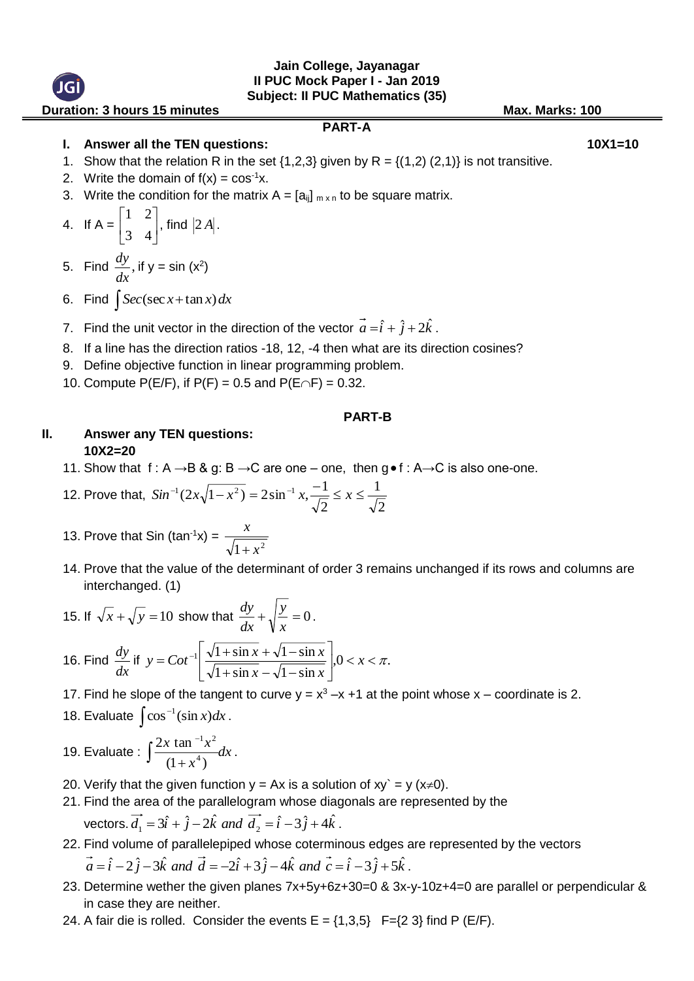#### **Jain College, Jayanagar II PUC Mock Paper I - Jan 2019 Subject: II PUC Mathematics (35)**

**Duration: 3 hours 15 minutes Contract Contract Contract Contract Contract Contract Contract Contract Contract Contract Contract Contract Contract Contract Contract Contract Contract Contract Contract Contract Contract Con** 

#### **PART-A**

**I. Answer all the TEN questions: 10X1=10**

- 1. Show that the relation R in the set  $\{1,2,3\}$  given by R =  $\{(1,2), (2,1)\}$  is not transitive.
- 2. Write the domain of  $f(x) = \cos^{-1}x$ .
- 3. Write the condition for the matrix  $A = [a_{ij}]_{m \times n}$  to be square matrix.

4. If 
$$
A = \begin{bmatrix} 1 & 2 \\ 3 & 4 \end{bmatrix}
$$
, find  $|2A|$ .

5. Find  $\frac{dy}{dx}$ ,  $\frac{dy}{dx}$ , if y = sin (x<sup>2</sup>)

- 6. Find  $\int$  *Sec*(sec *x* + tan *x*) *dx*
- 7. Find the unit vector in the direction of the vector  $\vec{a} = \hat{i} + \hat{j} + 2\hat{k}$  $\hat{i} + \hat{j} + 2\hat{k}$ .
- 8. If a line has the direction ratios -18, 12, -4 then what are its direction cosines?
- 9. Define objective function in linear programming problem.
- 10. Compute  $P(E/F)$ , if  $P(F) = 0.5$  and  $P(E \cap F) = 0.32$ .

#### **PART-B**

## **II. Answer any TEN questions: 10X2=20**

11. Show that  $f: A \rightarrow B \& g: B \rightarrow C$  are one – one, then  $g \bullet f: A \rightarrow C$  is also one-one.

12. Prove that, 
$$
Sin^{-1}(2x\sqrt{1-x^2}) = 2\sin^{-1}x, \frac{-1}{\sqrt{2}} \le x \le \frac{1}{\sqrt{2}}
$$

- 13. Prove that Sin (tan<sup>-1</sup>x) =  $\frac{x}{\sqrt{1+x^2}}$ *x*  $^+$
- 14. Prove that the value of the determinant of order 3 remains unchanged if its rows and columns are interchanged. (1)

15. If 
$$
\sqrt{x} + \sqrt{y} = 10
$$
 show that  $\frac{dy}{dx} + \sqrt{\frac{y}{x}} = 0$ .  
16. Find  $\frac{dy}{dx}$  if  $y = \cot^{-1} \left[ \frac{\sqrt{1 + \sin x} + \sqrt{1 - \sin x}}{\sqrt{1 + \sin x} - \sqrt{1 - \sin x}} \right], 0 < x < \pi$ .

- 17. Find he slope of the tangent to curve  $y = x^3 x + 1$  at the point whose  $x -$  coordinate is 2.
- 18. Evaluate  $\int \cos^{-1}(\sin x) dx$ .
- 19. Evaluate :  $\int \frac{2x \tan^{-1} x}{(1-x^2)^2} dx$ *x*  $\int \frac{2x \tan x}{(1+x^4)}$  $(1 + x^*)$  $2x$  tan 4 1 2 .
- 20. Verify that the given function  $y = Ax$  is a solution of  $xy = y (x\neq 0)$ .
- 21. Find the area of the parallelogram whose diagonals are represented by the vectors.  $\vec{d}_1 = 3\hat{i} + \hat{j} - 2\hat{k}$  and  $\vec{d}_2 = \hat{i} - 3\hat{j} + 4\hat{k}$ .
- 22. Find volume of parallelepiped whose coterminous edges are represented by the vectors  $\vec{a} = \hat{i} - 2\hat{j} - 3\hat{k}$  and  $\vec{d} = -2\hat{i} + 3\hat{j} - 4\hat{k}$  and  $\vec{c} = \hat{i} - 3\hat{j} + 5\hat{k}$  $\hat{i} - 2\hat{j} - 3\hat{k}$  and  $d = -2\hat{i} + 3\hat{j} - 4\hat{k}$  and  $c = \hat{i} - 3\hat{j} + 5\hat{k}$ .
- 23. Determine wether the given planes 7x+5y+6z+30=0 & 3x-y-10z+4=0 are parallel or perpendicular & in case they are neither.
- 24. A fair die is rolled. Consider the events  $E = \{1,3,5\}$  F= $\{2,3\}$  find P (E/F).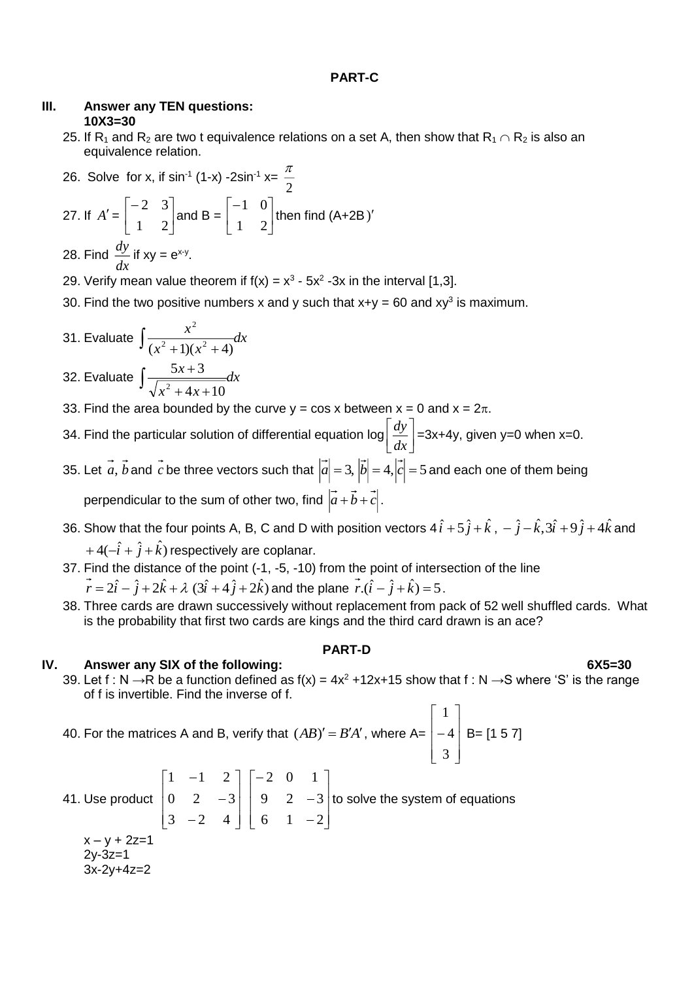#### **PART-C**

## **III. Answer any TEN questions: 10X3=30**

25. If R<sub>1</sub> and R<sub>2</sub> are two t equivalence relations on a set A, then show that R<sub>1</sub>  $\cap$  R<sub>2</sub> is also an equivalence relation.

26. Solve for x, if 
$$
\sin^{-1}(1-x) - 2\sin^{-1} x = \frac{\pi}{2}
$$
  
27. If  $A' = \begin{bmatrix} -2 & 3 \\ 1 & 2 \end{bmatrix}$  and  $B = \begin{bmatrix} -1 & 0 \\ 1 & 2 \end{bmatrix}$  then find  $(A+2B)'$   
28. Find  $\frac{dy}{dx}$  if  $xy = e^{x-y}$ .

29. Verify mean value theorem if  $f(x) = x^3 - 5x^2 - 3x$  in the interval [1,3].

- 30. Find the two positive numbers x and y such that  $x+y = 60$  and  $xy^3$  is maximum.
- 31. Evaluate  $\frac{d}{dx}$  and  $\frac{d}{dx}$ *x x*  $\int \frac{x}{(x^2+1)(x^2+4)}$ 2 32. Evaluate  $\int \frac{5x+3}{\sqrt{2x+4}+10}dx$

$$
\sqrt{x^2 + 4x + 10}
$$

- 33. Find the area bounded by the curve  $y = cos x$  between  $x = 0$  and  $x = 2\pi$ .
- 34. Find the particular solution of differential equation log  $\overline{\phantom{a}}$  $\rfloor$ 1  $\overline{\mathsf{L}}$ Γ *dx*  $\frac{dy}{dx}$  =3x+4y, given y=0 when x=0.
- 35. Let a, b and c be three vectors such that  $|a| = 3$ ,  $|b| = 4$ ,  $|c| = 5$  and each one of them being perpendicular to the sum of other two, find  $|a+b+c|$ .
- 36. Show that the four points A, B, C and D with position vectors  $4\hat{i} + 5\hat{j} + \hat{k}$  ,  $-\hat{j} \hat{k}$ ,  $3\hat{i} + 9\hat{j} + 4\hat{k}$  and  $+4(-\hat{i}+\hat{j}+\hat{k})$  respectively are coplanar.
- 37. Find the distance of the point (-1, -5, -10) from the point of intersection of the line  $\vec{r} = 2\hat{i} - \hat{j} + 2\hat{k} + \lambda\,\,(3\hat{i} + 4\,\hat{j} + 2\hat{k})$  and the plane  $\vec{r}.(\hat{i} - \hat{j} + \hat{k}) = 5$  .
- 38. Three cards are drawn successively without replacement from pack of 52 well shuffled cards. What is the probability that first two cards are kings and the third card drawn is an ace?

## **PART-D**

## **IV. Answer any SIX of the following: 6X5=30**

39. Let f : N →R be a function defined as  $f(x) = 4x^2 + 12x + 15$  show that f : N →S where 'S' is the range of f is invertible. Find the inverse of f.

40. For the matrices A and B, verify that 
$$
(AB)' = B'A'
$$
, where A= $\begin{bmatrix} 1 \\ -4 \\ 3 \end{bmatrix}$  B= $\begin{bmatrix} 1 & 5 & 7 \end{bmatrix}$ 

41. Use product  $\overline{\phantom{a}}$  $\overline{\phantom{a}}$ ┐  $\mathsf{I}$  $\mathbf{r}$  $\mathbf{r}$ L Γ Ξ Ξ Ξ l  $\rfloor$ ן  $\mathsf{L}$  $\mathbf{r}$  $\mathbf{r}$ L  $\lceil$ Ξ Τ Ξ 6 1 2 9 2 3 2 0 1 3  $-2$  4  $0 \t 2 \t -3$  $1 \quad -1 \quad 2$ to solve the system of equations  $x - y + 2z = 1$ 2y-3z=1 3x-2y+4z=2